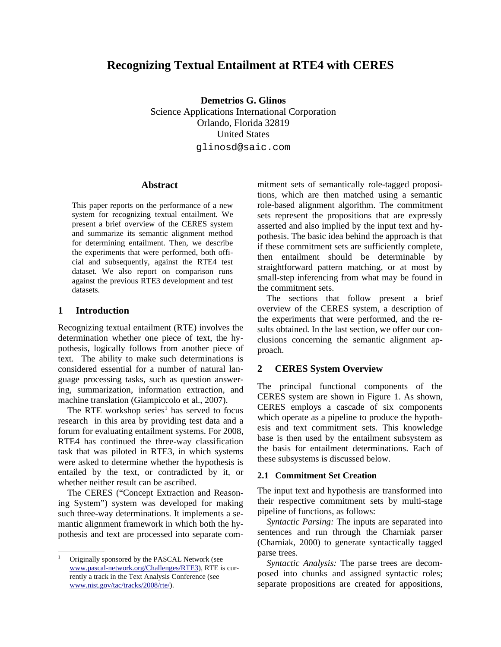# **Recognizing Textual Entailment at RTE4 with CERES**

**Demetrios G. Glinos** Science Applications International Corporation Orlando, Florida 32819 United States glinosd@saic.com

### **Abstract**

This paper reports on the performance of a new system for recognizing textual entailment. We present a brief overview of the CERES system and summarize its semantic alignment method for determining entailment. Then, we describe the experiments that were performed, both official and subsequently, against the RTE4 test dataset. We also report on comparison runs against the previous RTE3 development and test datasets.

# **1 Introduction**

Recognizing textual entailment (RTE) involves the determination whether one piece of text, the hypothesis, logically follows from another piece of text. The ability to make such determinations is considered essential for a number of natural language processing tasks, such as question answering, summarization, information extraction, and machine translation (Giampiccolo et al., 2007).

The RTE workshop series<sup>[1](#page-0-0)</sup> has served to focus research in this area by providing test data and a forum for evaluating entailment systems. For 2008, RTE4 has continued the three-way classification task that was piloted in RTE3, in which systems were asked to determine whether the hypothesis is entailed by the text, or contradicted by it, or whether neither result can be ascribed.

The CERES ("Concept Extraction and Reasoning System") system was developed for making such three-way determinations. It implements a semantic alignment framework in which both the hypothesis and text are processed into separate commitment sets of semantically role-tagged propositions, which are then matched using a semantic role-based alignment algorithm. The commitment sets represent the propositions that are expressly asserted and also implied by the input text and hypothesis. The basic idea behind the approach is that if these commitment sets are sufficiently complete, then entailment should be determinable by straightforward pattern matching, or at most by small-step inferencing from what may be found in the commitment sets.

The sections that follow present a brief overview of the CERES system, a description of the experiments that were performed, and the results obtained. In the last section, we offer our conclusions concerning the semantic alignment approach.

## **2 CERES System Overview**

The principal functional components of the CERES system are shown in Figure 1. As shown, CERES employs a cascade of six components which operate as a pipeline to produce the hypothesis and text commitment sets. This knowledge base is then used by the entailment subsystem as the basis for entailment determinations. Each of these subsystems is discussed below.

### **2.1 Commitment Set Creation**

The input text and hypothesis are transformed into their respective commitment sets by multi-stage pipeline of functions, as follows:

*Syntactic Parsing:* The inputs are separated into sentences and run through the Charniak parser (Charniak, 2000) to generate syntactically tagged parse trees.

*Syntactic Analysis:* The parse trees are decomposed into chunks and assigned syntactic roles; separate propositions are created for appositions,

<span id="page-0-0"></span><sup>1</sup> Originally sponsored by the PASCAL Network (see [www.pascal-network.org/Challenges/RTE3\)](http://www.pascal-network.org/Challenges/RTE3/), RTE is currently a track in the Text Analysis Conference (see [www.nist.gov/tac/tracks/2008/rte/\)](http://www.nist.gov/tac/tracks/2008/rte/).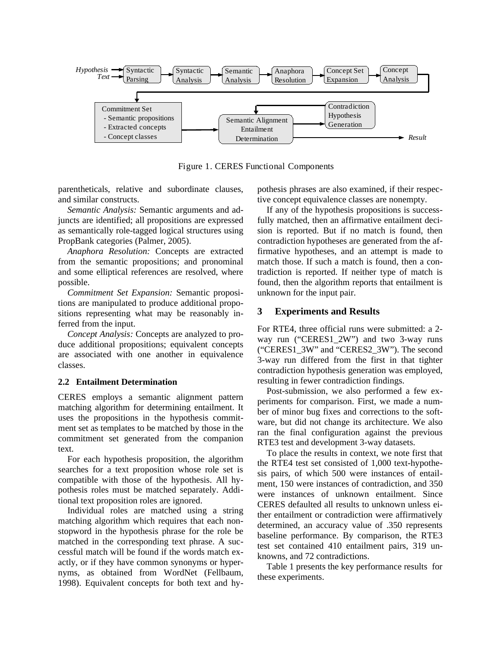

Figure 1. CERES Functional Components

parentheticals, relative and subordinate clauses, and similar constructs.

*Semantic Analysis:* Semantic arguments and adjuncts are identified; all propositions are expressed as semantically role-tagged logical structures using PropBank categories (Palmer, 2005).

*Anaphora Resolution:* Concepts are extracted from the semantic propositions; and pronominal and some elliptical references are resolved, where possible.

*Commitment Set Expansion:* Semantic propositions are manipulated to produce additional propositions representing what may be reasonably inferred from the input.

*Concept Analysis:* Concepts are analyzed to produce additional propositions; equivalent concepts are associated with one another in equivalence classes.

### **2.2 Entailment Determination**

CERES employs a semantic alignment pattern matching algorithm for determining entailment. It uses the propositions in the hypothesis commitment set as templates to be matched by those in the commitment set generated from the companion text.

For each hypothesis proposition, the algorithm searches for a text proposition whose role set is compatible with those of the hypothesis. All hypothesis roles must be matched separately. Additional text proposition roles are ignored.

Individual roles are matched using a string matching algorithm which requires that each nonstopword in the hypothesis phrase for the role be matched in the corresponding text phrase. A successful match will be found if the words match exactly, or if they have common synonyms or hypernyms, as obtained from WordNet (Fellbaum, 1998). Equivalent concepts for both text and hypothesis phrases are also examined, if their respective concept equivalence classes are nonempty.

If any of the hypothesis propositions is successfully matched, then an affirmative entailment decision is reported. But if no match is found, then contradiction hypotheses are generated from the affirmative hypotheses, and an attempt is made to match those. If such a match is found, then a contradiction is reported. If neither type of match is found, then the algorithm reports that entailment is unknown for the input pair.

## **3 Experiments and Results**

For RTE4, three official runs were submitted: a 2 way run ("CERES1\_2W") and two 3-way runs ("CERES1\_3W" and "CERES2\_3W"). The second 3-way run differed from the first in that tighter contradiction hypothesis generation was employed, resulting in fewer contradiction findings.

Post-submission, we also performed a few experiments for comparison. First, we made a number of minor bug fixes and corrections to the software, but did not change its architecture. We also ran the final configuration against the previous RTE3 test and development 3-way datasets.

To place the results in context, we note first that the RTE4 test set consisted of 1,000 text-hypothesis pairs, of which 500 were instances of entailment, 150 were instances of contradiction, and 350 were instances of unknown entailment. Since CERES defaulted all results to unknown unless either entailment or contradiction were affirmatively determined, an accuracy value of .350 represents baseline performance. By comparison, the RTE3 test set contained 410 entailment pairs, 319 unknowns, and 72 contradictions.

Table 1 presents the key performance results for these experiments.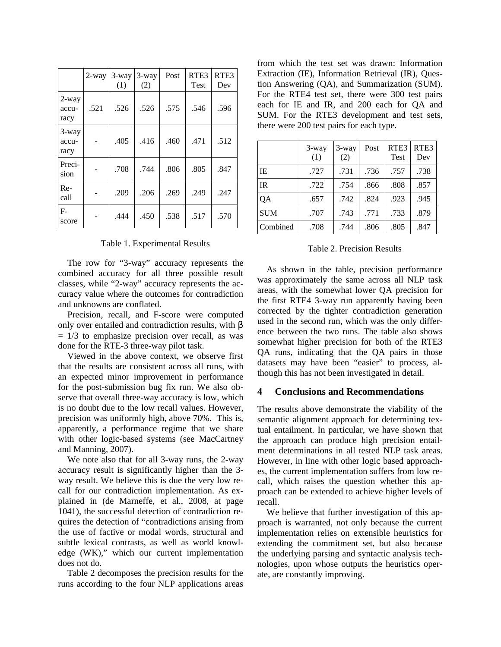|                        | $2$ -way | 3-way<br>(1) | 3-way<br>(2) | Post | RTE3<br><b>Test</b> | RTE3<br>Dev |
|------------------------|----------|--------------|--------------|------|---------------------|-------------|
| 2-way<br>accu-<br>racy | .521     | .526         | .526         | .575 | .546                | .596        |
| 3-way<br>accu-<br>racy |          | .405         | .416         | .460 | .471                | .512        |
| Preci-<br>sion         |          | .708         | .744         | .806 | .805                | .847        |
| Re-<br>call            |          | .209         | .206         | .269 | .249                | .247        |
| $F-$<br>score          |          | .444         | .450         | .538 | .517                | .570        |

#### Table 1. Experimental Results

The row for "3-way" accuracy represents the combined accuracy for all three possible result classes, while "2-way" accuracy represents the accuracy value where the outcomes for contradiction and unknowns are conflated.

Precision, recall, and F-score were computed only over entailed and contradiction results, with β  $= 1/3$  to emphasize precision over recall, as was done for the RTE-3 three-way pilot task.

Viewed in the above context, we observe first that the results are consistent across all runs, with an expected minor improvement in performance for the post-submission bug fix run. We also observe that overall three-way accuracy is low, which is no doubt due to the low recall values. However, precision was uniformly high, above 70%. This is, apparently, a performance regime that we share with other logic-based systems (see MacCartney and Manning, 2007).

We note also that for all 3-way runs, the 2-way accuracy result is significantly higher than the 3 way result. We believe this is due the very low recall for our contradiction implementation. As explained in (de Marneffe, et al., 2008, at page 1041), the successful detection of contradiction requires the detection of "contradictions arising from the use of factive or modal words, structural and subtle lexical contrasts, as well as world knowledge (WK)," which our current implementation does not do.

Table 2 decomposes the precision results for the runs according to the four NLP applications areas

from which the test set was drawn: Information Extraction (IE), Information Retrieval (IR), Question Answering (QA), and Summarization (SUM). For the RTE4 test set, there were 300 test pairs each for IE and IR, and 200 each for QA and SUM. For the RTE3 development and test sets, there were 200 test pairs for each type.

|            | 3-way<br>(1) | 3-way<br>(2) | Post | RTE <sub>3</sub><br><b>Test</b> | RTE <sub>3</sub><br>Dev |
|------------|--------------|--------------|------|---------------------------------|-------------------------|
| IE         | .727         | .731         | .736 | .757                            | .738                    |
| <b>IR</b>  | .722         | .754         | .866 | .808                            | .857                    |
| QA         | .657         | .742         | .824 | .923                            | .945                    |
| <b>SUM</b> | .707         | .743         | .771 | .733                            | .879                    |
| Combined   | .708         | .744         | .806 | .805                            | .847                    |

#### Table 2. Precision Results

As shown in the table, precision performance was approximately the same across all NLP task areas, with the somewhat lower QA precision for the first RTE4 3-way run apparently having been corrected by the tighter contradiction generation used in the second run, which was the only difference between the two runs. The table also shows somewhat higher precision for both of the RTE3 QA runs, indicating that the QA pairs in those datasets may have been "easier" to process, although this has not been investigated in detail.

#### **4 Conclusions and Recommendations**

The results above demonstrate the viability of the semantic alignment approach for determining textual entailment. In particular, we have shown that the approach can produce high precision entailment determinations in all tested NLP task areas. However, in line with other logic based approaches, the current implementation suffers from low recall, which raises the question whether this approach can be extended to achieve higher levels of recall.

We believe that further investigation of this approach is warranted, not only because the current implementation relies on extensible heuristics for extending the commitment set, but also because the underlying parsing and syntactic analysis technologies, upon whose outputs the heuristics operate, are constantly improving.